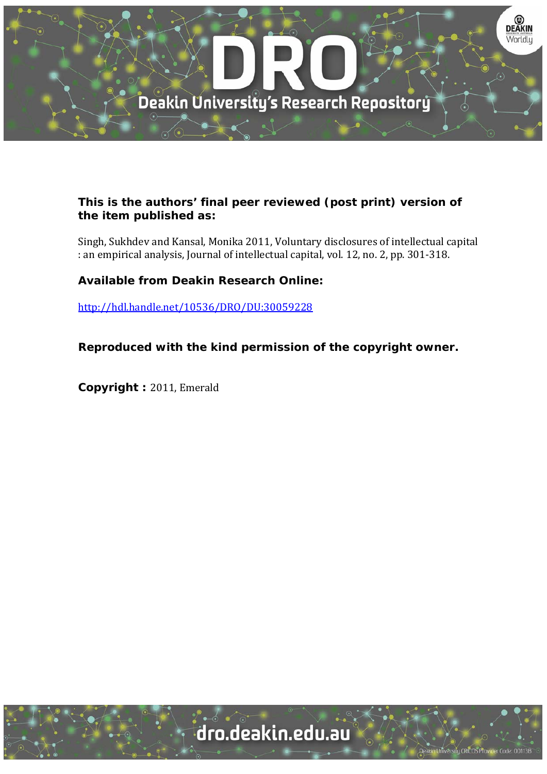

## **This is the authors' final peer reviewed (post print) version of the item published as:**

Singh, Sukhdev and Kansal, Monika 2011, Voluntary disclosures of intellectual capital : an empirical analysis, Journal of intellectual capital, vol. 12, no. 2, pp. 301-318.

# **Available from Deakin Research Online:**

http://hdl.handle.net/10536/DRO/DU:30059228

**Reproduced with the kind permission of the copyright owner.** 

**Copyright : 2011, Emerald** 

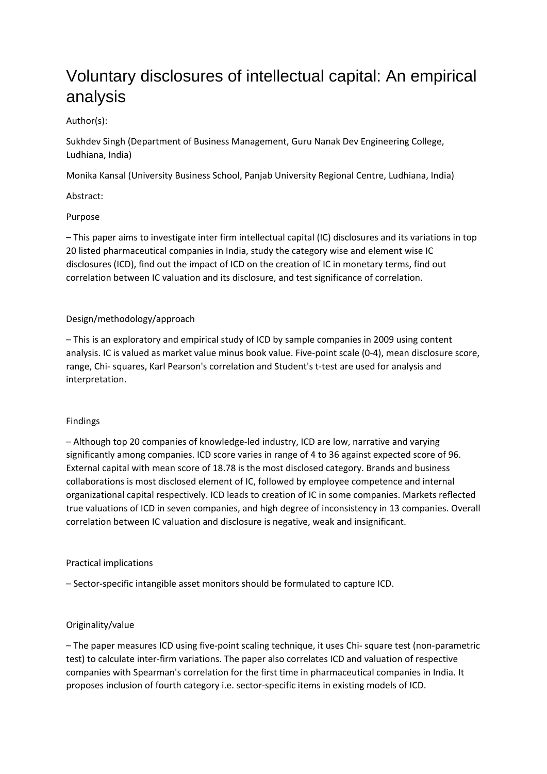# Voluntary disclosures of intellectual capital: An empirical analysis

## Author(s):

Sukhdev Singh (Department of Business Management, Guru Nanak Dev Engineering College, Ludhiana, India)

Monika Kansal (University Business School, Panjab University Regional Centre, Ludhiana, India)

Abstract:

## Purpose

– This paper aims to investigate inter firm intellectual capital (IC) disclosures and its variations in top 20 listed pharmaceutical companies in India, study the category wise and element wise IC disclosures (ICD), find out the impact of ICD on the creation of IC in monetary terms, find out correlation between IC valuation and its disclosure, and test significance of correlation.

## Design/methodology/approach

– This is an exploratory and empirical study of ICD by sample companies in 2009 using content analysis. IC is valued as market value minus book value. Five-point scale (0-4), mean disclosure score, range, Chi- squares, Karl Pearson's correlation and Student's t-test are used for analysis and interpretation.

## Findings

– Although top 20 companies of knowledge‐led industry, ICD are low, narrative and varying significantly among companies. ICD score varies in range of 4 to 36 against expected score of 96. External capital with mean score of 18.78 is the most disclosed category. Brands and business collaborations is most disclosed element of IC, followed by employee competence and internal organizational capital respectively. ICD leads to creation of IC in some companies. Markets reflected true valuations of ICD in seven companies, and high degree of inconsistency in 13 companies. Overall correlation between IC valuation and disclosure is negative, weak and insignificant.

## Practical implications

– Sector‐specific intangible asset monitors should be formulated to capture ICD.

## Originality/value

– The paper measures ICD using five‐point scaling technique, it uses Chi‐ square test (non‐parametric test) to calculate inter‐firm variations. The paper also correlates ICD and valuation of respective companies with Spearman's correlation for the first time in pharmaceutical companies in India. It proposes inclusion of fourth category i.e. sector‐specific items in existing models of ICD.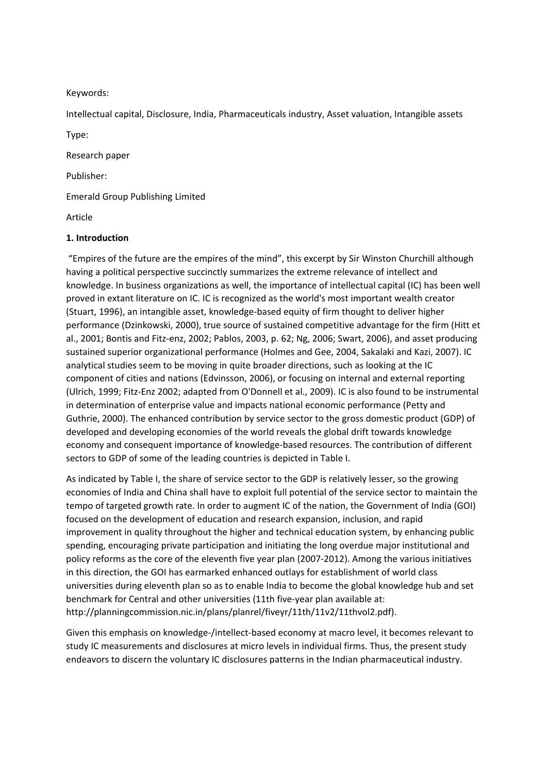#### Keywords:

Intellectual capital, Disclosure, India, Pharmaceuticals industry, Asset valuation, Intangible assets

Type:

Research paper

Publisher:

Emerald Group Publishing Limited

Article

#### **1. Introduction**

"Empires of the future are the empires of the mind", this excerpt by Sir Winston Churchill although having a political perspective succinctly summarizes the extreme relevance of intellect and knowledge. In business organizations as well, the importance of intellectual capital (IC) has been well proved in extant literature on IC. IC is recognized as the world's most important wealth creator (Stuart, 1996), an intangible asset, knowledge‐based equity of firm thought to deliver higher performance (Dzinkowski, 2000), true source of sustained competitive advantage for the firm (Hitt et al., 2001; Bontis and Fitz‐enz, 2002; Pablos, 2003, p. 62; Ng, 2006; Swart, 2006), and asset producing sustained superior organizational performance (Holmes and Gee, 2004, Sakalaki and Kazi, 2007). IC analytical studies seem to be moving in quite broader directions, such as looking at the IC component of cities and nations (Edvinsson, 2006), or focusing on internal and external reporting (Ulrich, 1999; Fitz‐Enz 2002; adapted from O'Donnell et al., 2009). IC is also found to be instrumental in determination of enterprise value and impacts national economic performance (Petty and Guthrie, 2000). The enhanced contribution by service sector to the gross domestic product (GDP) of developed and developing economies of the world reveals the global drift towards knowledge economy and consequent importance of knowledge‐based resources. The contribution of different sectors to GDP of some of the leading countries is depicted in Table I.

As indicated by Table I, the share of service sector to the GDP is relatively lesser, so the growing economies of India and China shall have to exploit full potential of the service sector to maintain the tempo of targeted growth rate. In order to augment IC of the nation, the Government of India (GOI) focused on the development of education and research expansion, inclusion, and rapid improvement in quality throughout the higher and technical education system, by enhancing public spending, encouraging private participation and initiating the long overdue major institutional and policy reforms as the core of the eleventh five year plan (2007‐2012). Among the various initiatives in this direction, the GOI has earmarked enhanced outlays for establishment of world class universities during eleventh plan so as to enable India to become the global knowledge hub and set benchmark for Central and other universities (11th five-year plan available at: http://planningcommission.nic.in/plans/planrel/fiveyr/11th/11v2/11thvol2.pdf).

Given this emphasis on knowledge-/intellect-based economy at macro level, it becomes relevant to study IC measurements and disclosures at micro levels in individual firms. Thus, the present study endeavors to discern the voluntary IC disclosures patterns in the Indian pharmaceutical industry.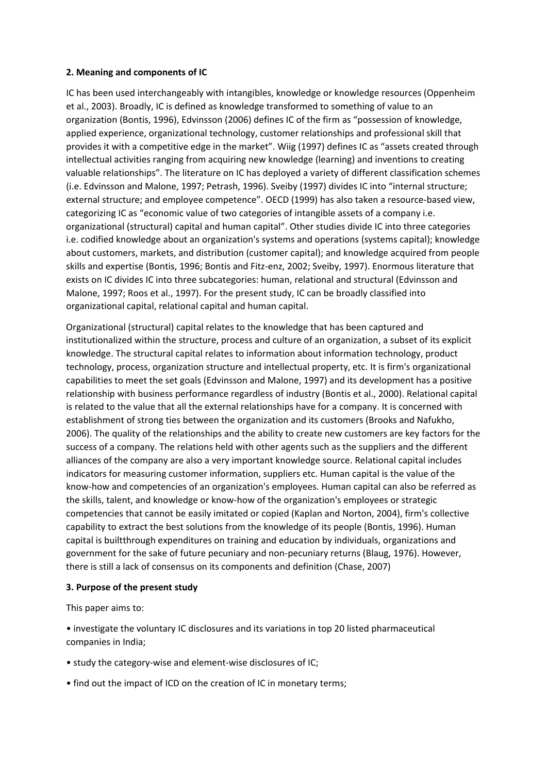#### **2. Meaning and components of IC**

IC has been used interchangeably with intangibles, knowledge or knowledge resources (Oppenheim et al., 2003). Broadly, IC is defined as knowledge transformed to something of value to an organization (Bontis, 1996), Edvinsson (2006) defines IC of the firm as "possession of knowledge, applied experience, organizational technology, customer relationships and professional skill that provides it with a competitive edge in the market". Wiig (1997) defines IC as "assets created through intellectual activities ranging from acquiring new knowledge (learning) and inventions to creating valuable relationships". The literature on IC has deployed a variety of different classification schemes (i.e. Edvinsson and Malone, 1997; Petrash, 1996). Sveiby (1997) divides IC into "internal structure; external structure; and employee competence". OECD (1999) has also taken a resource‐based view, categorizing IC as "economic value of two categories of intangible assets of a company i.e. organizational (structural) capital and human capital". Other studies divide IC into three categories i.e. codified knowledge about an organization's systems and operations (systems capital); knowledge about customers, markets, and distribution (customer capital); and knowledge acquired from people skills and expertise (Bontis, 1996; Bontis and Fitz-enz, 2002; Sveiby, 1997). Enormous literature that exists on IC divides IC into three subcategories: human, relational and structural (Edvinsson and Malone, 1997; Roos et al., 1997). For the present study, IC can be broadly classified into organizational capital, relational capital and human capital.

Organizational (structural) capital relates to the knowledge that has been captured and institutionalized within the structure, process and culture of an organization, a subset of its explicit knowledge. The structural capital relates to information about information technology, product technology, process, organization structure and intellectual property, etc. It is firm's organizational capabilities to meet the set goals (Edvinsson and Malone, 1997) and its development has a positive relationship with business performance regardless of industry (Bontis et al., 2000). Relational capital is related to the value that all the external relationships have for a company. It is concerned with establishment of strong ties between the organization and its customers (Brooks and Nafukho, 2006). The quality of the relationships and the ability to create new customers are key factors for the success of a company. The relations held with other agents such as the suppliers and the different alliances of the company are also a very important knowledge source. Relational capital includes indicators for measuring customer information, suppliers etc. Human capital is the value of the know‐how and competencies of an organization's employees. Human capital can also be referred as the skills, talent, and knowledge or know‐how of the organization's employees or strategic competencies that cannot be easily imitated or copied (Kaplan and Norton, 2004), firm's collective capability to extract the best solutions from the knowledge of its people (Bontis, 1996). Human capital is builtthrough expenditures on training and education by individuals, organizations and government for the sake of future pecuniary and non-pecuniary returns (Blaug, 1976). However, there is still a lack of consensus on its components and definition (Chase, 2007)

#### **3. Purpose of the present study**

This paper aims to:

• investigate the voluntary IC disclosures and its variations in top 20 listed pharmaceutical companies in India;

- study the category‐wise and element‐wise disclosures of IC;
- find out the impact of ICD on the creation of IC in monetary terms;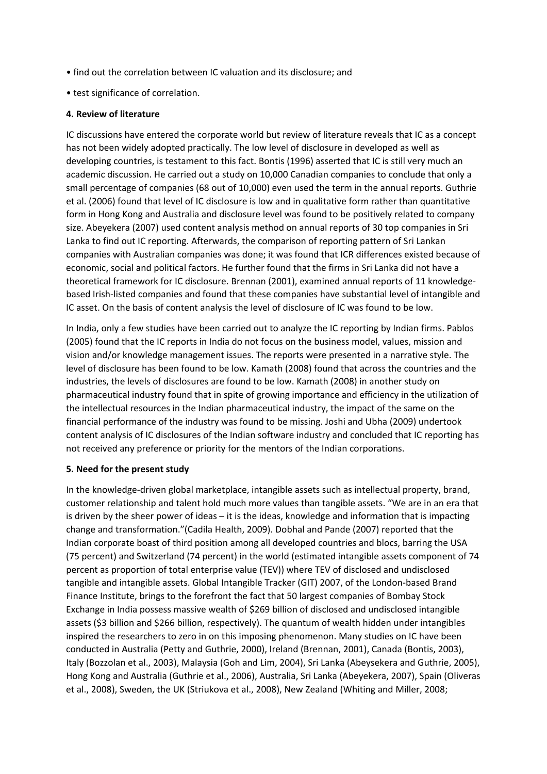- find out the correlation between IC valuation and its disclosure; and
- test significance of correlation.

#### **4. Review of literature**

IC discussions have entered the corporate world but review of literature reveals that IC as a concept has not been widely adopted practically. The low level of disclosure in developed as well as developing countries, is testament to this fact. Bontis (1996) asserted that IC is still very much an academic discussion. He carried out a study on 10,000 Canadian companies to conclude that only a small percentage of companies (68 out of 10,000) even used the term in the annual reports. Guthrie et al. (2006) found that level of IC disclosure is low and in qualitative form rather than quantitative form in Hong Kong and Australia and disclosure level was found to be positively related to company size. Abeyekera (2007) used content analysis method on annual reports of 30 top companies in Sri Lanka to find out IC reporting. Afterwards, the comparison of reporting pattern of Sri Lankan companies with Australian companies was done; it was found that ICR differences existed because of economic, social and political factors. He further found that the firms in Sri Lanka did not have a theoretical framework for IC disclosure. Brennan (2001), examined annual reports of 11 knowledge‐ based Irish‐listed companies and found that these companies have substantial level of intangible and IC asset. On the basis of content analysis the level of disclosure of IC was found to be low.

In India, only a few studies have been carried out to analyze the IC reporting by Indian firms. Pablos (2005) found that the IC reports in India do not focus on the business model, values, mission and vision and/or knowledge management issues. The reports were presented in a narrative style. The level of disclosure has been found to be low. Kamath (2008) found that across the countries and the industries, the levels of disclosures are found to be low. Kamath (2008) in another study on pharmaceutical industry found that in spite of growing importance and efficiency in the utilization of the intellectual resources in the Indian pharmaceutical industry, the impact of the same on the financial performance of the industry was found to be missing. Joshi and Ubha (2009) undertook content analysis of IC disclosures of the Indian software industry and concluded that IC reporting has not received any preference or priority for the mentors of the Indian corporations.

#### **5. Need for the present study**

In the knowledge‐driven global marketplace, intangible assets such as intellectual property, brand, customer relationship and talent hold much more values than tangible assets. "We are in an era that is driven by the sheer power of ideas – it is the ideas, knowledge and information that is impacting change and transformation."(Cadila Health, 2009). Dobhal and Pande (2007) reported that the Indian corporate boast of third position among all developed countries and blocs, barring the USA (75 percent) and Switzerland (74 percent) in the world (estimated intangible assets component of 74 percent as proportion of total enterprise value (TEV)) where TEV of disclosed and undisclosed tangible and intangible assets. Global Intangible Tracker (GIT) 2007, of the London‐based Brand Finance Institute, brings to the forefront the fact that 50 largest companies of Bombay Stock Exchange in India possess massive wealth of \$269 billion of disclosed and undisclosed intangible assets (\$3 billion and \$266 billion, respectively). The quantum of wealth hidden under intangibles inspired the researchers to zero in on this imposing phenomenon. Many studies on IC have been conducted in Australia (Petty and Guthrie, 2000), Ireland (Brennan, 2001), Canada (Bontis, 2003), Italy (Bozzolan et al., 2003), Malaysia (Goh and Lim, 2004), Sri Lanka (Abeysekera and Guthrie, 2005), Hong Kong and Australia (Guthrie et al., 2006), Australia, Sri Lanka (Abeyekera, 2007), Spain (Oliveras et al., 2008), Sweden, the UK (Striukova et al., 2008), New Zealand (Whiting and Miller, 2008;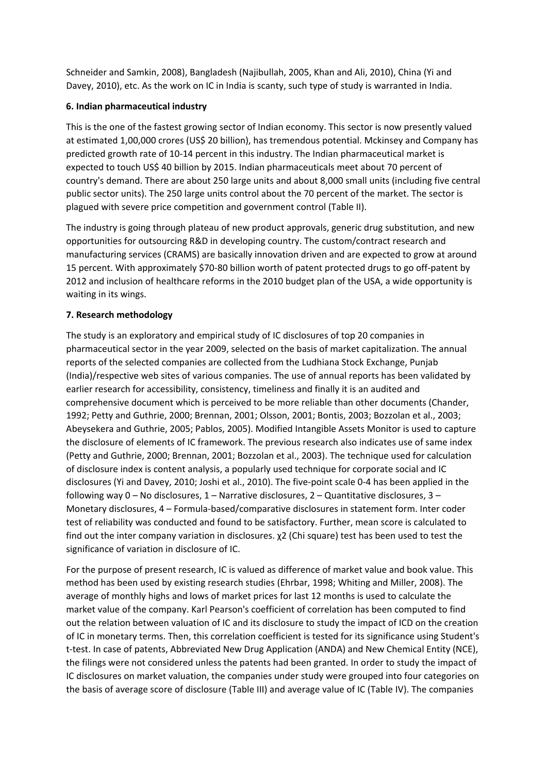Schneider and Samkin, 2008), Bangladesh (Najibullah, 2005, Khan and Ali, 2010), China (Yi and Davey, 2010), etc. As the work on IC in India is scanty, such type of study is warranted in India.

## **6. Indian pharmaceutical industry**

This is the one of the fastest growing sector of Indian economy. This sector is now presently valued at estimated 1,00,000 crores (US\$ 20 billion), has tremendous potential. Mckinsey and Company has predicted growth rate of 10‐14 percent in this industry. The Indian pharmaceutical market is expected to touch US\$ 40 billion by 2015. Indian pharmaceuticals meet about 70 percent of country's demand. There are about 250 large units and about 8,000 small units (including five central public sector units). The 250 large units control about the 70 percent of the market. The sector is plagued with severe price competition and government control (Table II).

The industry is going through plateau of new product approvals, generic drug substitution, and new opportunities for outsourcing R&D in developing country. The custom/contract research and manufacturing services (CRAMS) are basically innovation driven and are expected to grow at around 15 percent. With approximately \$70‐80 billion worth of patent protected drugs to go off‐patent by 2012 and inclusion of healthcare reforms in the 2010 budget plan of the USA, a wide opportunity is waiting in its wings.

## **7. Research methodology**

The study is an exploratory and empirical study of IC disclosures of top 20 companies in pharmaceutical sector in the year 2009, selected on the basis of market capitalization. The annual reports of the selected companies are collected from the Ludhiana Stock Exchange, Punjab (India)/respective web sites of various companies. The use of annual reports has been validated by earlier research for accessibility, consistency, timeliness and finally it is an audited and comprehensive document which is perceived to be more reliable than other documents (Chander, 1992; Petty and Guthrie, 2000; Brennan, 2001; Olsson, 2001; Bontis, 2003; Bozzolan et al., 2003; Abeysekera and Guthrie, 2005; Pablos, 2005). Modified Intangible Assets Monitor is used to capture the disclosure of elements of IC framework. The previous research also indicates use of same index (Petty and Guthrie, 2000; Brennan, 2001; Bozzolan et al., 2003). The technique used for calculation of disclosure index is content analysis, a popularly used technique for corporate social and IC disclosures (Yi and Davey, 2010; Joshi et al., 2010). The five‐point scale 0‐4 has been applied in the following way 0 – No disclosures, 1 – Narrative disclosures, 2 – Quantitative disclosures, 3 – Monetary disclosures, 4 – Formula‐based/comparative disclosures in statement form. Inter coder test of reliability was conducted and found to be satisfactory. Further, mean score is calculated to find out the inter company variation in disclosures. χ2 (Chi square) test has been used to test the significance of variation in disclosure of IC.

For the purpose of present research, IC is valued as difference of market value and book value. This method has been used by existing research studies (Ehrbar, 1998; Whiting and Miller, 2008). The average of monthly highs and lows of market prices for last 12 months is used to calculate the market value of the company. Karl Pearson's coefficient of correlation has been computed to find out the relation between valuation of IC and its disclosure to study the impact of ICD on the creation of IC in monetary terms. Then, this correlation coefficient is tested for its significance using Student's t-test. In case of patents, Abbreviated New Drug Application (ANDA) and New Chemical Entity (NCE), the filings were not considered unless the patents had been granted. In order to study the impact of IC disclosures on market valuation, the companies under study were grouped into four categories on the basis of average score of disclosure (Table III) and average value of IC (Table IV). The companies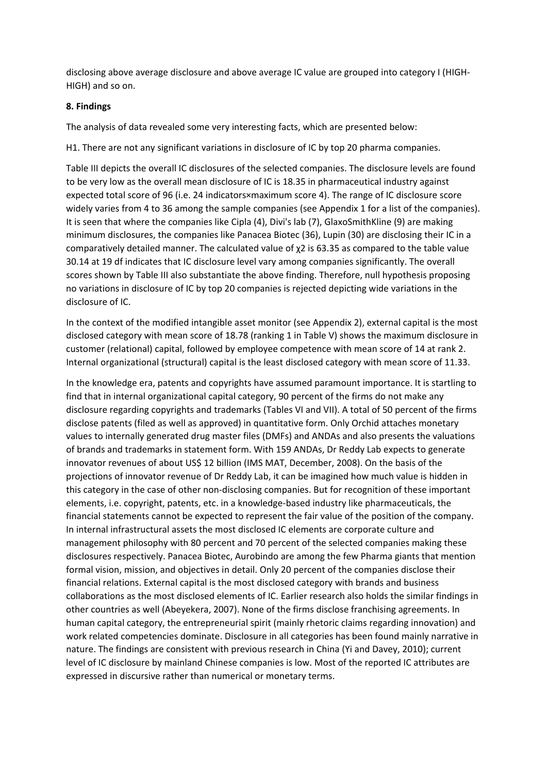disclosing above average disclosure and above average IC value are grouped into category I (HIGH‐ HIGH) and so on.

#### **8. Findings**

The analysis of data revealed some very interesting facts, which are presented below:

H1. There are not any significant variations in disclosure of IC by top 20 pharma companies.

Table III depicts the overall IC disclosures of the selected companies. The disclosure levels are found to be very low as the overall mean disclosure of IC is 18.35 in pharmaceutical industry against expected total score of 96 (i.e. 24 indicators×maximum score 4). The range of IC disclosure score widely varies from 4 to 36 among the sample companies (see Appendix 1 for a list of the companies). It is seen that where the companies like Cipla (4), Divi's lab (7), GlaxoSmithKline (9) are making minimum disclosures, the companies like Panacea Biotec (36), Lupin (30) are disclosing their IC in a comparatively detailed manner. The calculated value of χ2 is 63.35 as compared to the table value 30.14 at 19 df indicates that IC disclosure level vary among companies significantly. The overall scores shown by Table III also substantiate the above finding. Therefore, null hypothesis proposing no variations in disclosure of IC by top 20 companies is rejected depicting wide variations in the disclosure of IC.

In the context of the modified intangible asset monitor (see Appendix 2), external capital is the most disclosed category with mean score of 18.78 (ranking 1 in Table V) shows the maximum disclosure in customer (relational) capital, followed by employee competence with mean score of 14 at rank 2. Internal organizational (structural) capital is the least disclosed category with mean score of 11.33.

In the knowledge era, patents and copyrights have assumed paramount importance. It is startling to find that in internal organizational capital category, 90 percent of the firms do not make any disclosure regarding copyrights and trademarks (Tables VI and VII). A total of 50 percent of the firms disclose patents (filed as well as approved) in quantitative form. Only Orchid attaches monetary values to internally generated drug master files (DMFs) and ANDAs and also presents the valuations of brands and trademarks in statement form. With 159 ANDAs, Dr Reddy Lab expects to generate innovator revenues of about US\$ 12 billion (IMS MAT, December, 2008). On the basis of the projections of innovator revenue of Dr Reddy Lab, it can be imagined how much value is hidden in this category in the case of other non‐disclosing companies. But for recognition of these important elements, i.e. copyright, patents, etc. in a knowledge‐based industry like pharmaceuticals, the financial statements cannot be expected to represent the fair value of the position of the company. In internal infrastructural assets the most disclosed IC elements are corporate culture and management philosophy with 80 percent and 70 percent of the selected companies making these disclosures respectively. Panacea Biotec, Aurobindo are among the few Pharma giants that mention formal vision, mission, and objectives in detail. Only 20 percent of the companies disclose their financial relations. External capital is the most disclosed category with brands and business collaborations as the most disclosed elements of IC. Earlier research also holds the similar findings in other countries as well (Abeyekera, 2007). None of the firms disclose franchising agreements. In human capital category, the entrepreneurial spirit (mainly rhetoric claims regarding innovation) and work related competencies dominate. Disclosure in all categories has been found mainly narrative in nature. The findings are consistent with previous research in China (Yi and Davey, 2010); current level of IC disclosure by mainland Chinese companies is low. Most of the reported IC attributes are expressed in discursive rather than numerical or monetary terms.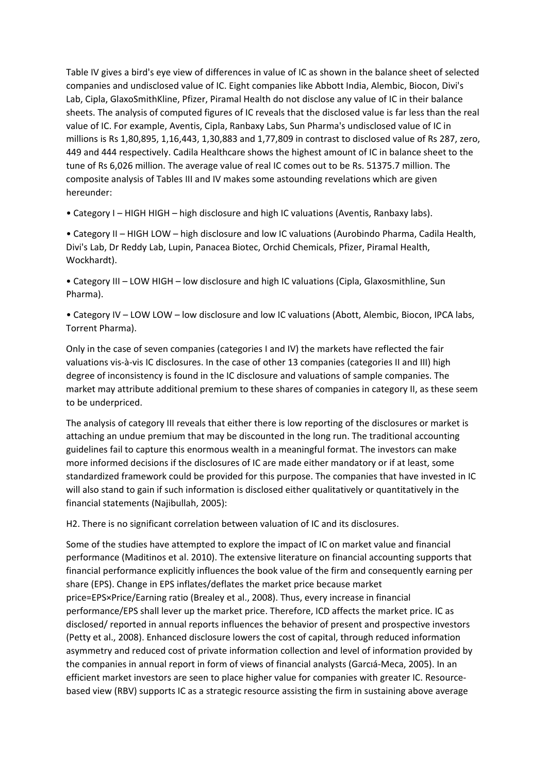Table IV gives a bird's eye view of differences in value of IC as shown in the balance sheet of selected companies and undisclosed value of IC. Eight companies like Abbott India, Alembic, Biocon, Divi's Lab, Cipla, GlaxoSmithKline, Pfizer, Piramal Health do not disclose any value of IC in their balance sheets. The analysis of computed figures of IC reveals that the disclosed value is far less than the real value of IC. For example, Aventis, Cipla, Ranbaxy Labs, Sun Pharma's undisclosed value of IC in millions is Rs 1,80,895, 1,16,443, 1,30,883 and 1,77,809 in contrast to disclosed value of Rs 287, zero, 449 and 444 respectively. Cadila Healthcare shows the highest amount of IC in balance sheet to the tune of Rs 6,026 million. The average value of real IC comes out to be Rs. 51375.7 million. The composite analysis of Tables III and IV makes some astounding revelations which are given hereunder:

• Category I – HIGH HIGH – high disclosure and high IC valuations (Aventis, Ranbaxy labs).

• Category II – HIGH LOW – high disclosure and low IC valuations (Aurobindo Pharma, Cadila Health, Divi's Lab, Dr Reddy Lab, Lupin, Panacea Biotec, Orchid Chemicals, Pfizer, Piramal Health, Wockhardt).

• Category III – LOW HIGH – low disclosure and high IC valuations (Cipla, Glaxosmithline, Sun Pharma).

• Category IV – LOW LOW – low disclosure and low IC valuations (Abott, Alembic, Biocon, IPCA labs, Torrent Pharma).

Only in the case of seven companies (categories I and IV) the markets have reflected the fair valuations vis-à-vis IC disclosures. In the case of other 13 companies (categories II and III) high degree of inconsistency is found in the IC disclosure and valuations of sample companies. The market may attribute additional premium to these shares of companies in category II, as these seem to be underpriced.

The analysis of category III reveals that either there is low reporting of the disclosures or market is attaching an undue premium that may be discounted in the long run. The traditional accounting guidelines fail to capture this enormous wealth in a meaningful format. The investors can make more informed decisions if the disclosures of IC are made either mandatory or if at least, some standardized framework could be provided for this purpose. The companies that have invested in IC will also stand to gain if such information is disclosed either qualitatively or quantitatively in the financial statements (Najibullah, 2005):

H2. There is no significant correlation between valuation of IC and its disclosures.

Some of the studies have attempted to explore the impact of IC on market value and financial performance (Maditinos et al. 2010). The extensive literature on financial accounting supports that financial performance explicitly influences the book value of the firm and consequently earning per share (EPS). Change in EPS inflates/deflates the market price because market price=EPS×Price/Earning ratio (Brealey et al., 2008). Thus, every increase in financial performance/EPS shall lever up the market price. Therefore, ICD affects the market price. IC as disclosed/ reported in annual reports influences the behavior of present and prospective investors (Petty et al., 2008). Enhanced disclosure lowers the cost of capital, through reduced information asymmetry and reduced cost of private information collection and level of information provided by the companies in annual report in form of views of financial analysts (Garcıá‐Meca, 2005). In an efficient market investors are seen to place higher value for companies with greater IC. Resource‐ based view (RBV) supports IC as a strategic resource assisting the firm in sustaining above average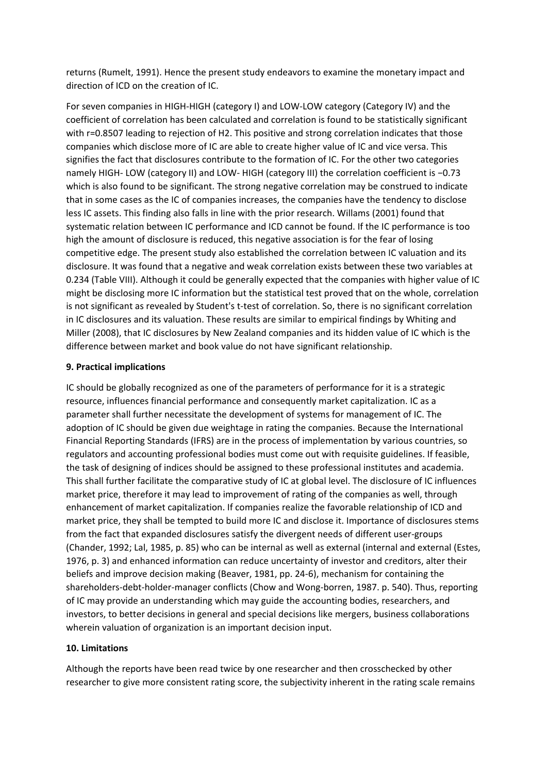returns (Rumelt, 1991). Hence the present study endeavors to examine the monetary impact and direction of ICD on the creation of IC.

For seven companies in HIGH‐HIGH (category I) and LOW‐LOW category (Category IV) and the coefficient of correlation has been calculated and correlation is found to be statistically significant with r=0.8507 leading to rejection of H2. This positive and strong correlation indicates that those companies which disclose more of IC are able to create higher value of IC and vice versa. This signifies the fact that disclosures contribute to the formation of IC. For the other two categories namely HIGH-LOW (category II) and LOW-HIGH (category III) the correlation coefficient is -0.73 which is also found to be significant. The strong negative correlation may be construed to indicate that in some cases as the IC of companies increases, the companies have the tendency to disclose less IC assets. This finding also falls in line with the prior research. Willams (2001) found that systematic relation between IC performance and ICD cannot be found. If the IC performance is too high the amount of disclosure is reduced, this negative association is for the fear of losing competitive edge. The present study also established the correlation between IC valuation and its disclosure. It was found that a negative and weak correlation exists between these two variables at 0.234 (Table VIII). Although it could be generally expected that the companies with higher value of IC might be disclosing more IC information but the statistical test proved that on the whole, correlation is not significant as revealed by Student's t-test of correlation. So, there is no significant correlation in IC disclosures and its valuation. These results are similar to empirical findings by Whiting and Miller (2008), that IC disclosures by New Zealand companies and its hidden value of IC which is the difference between market and book value do not have significant relationship.

#### **9. Practical implications**

IC should be globally recognized as one of the parameters of performance for it is a strategic resource, influences financial performance and consequently market capitalization. IC as a parameter shall further necessitate the development of systems for management of IC. The adoption of IC should be given due weightage in rating the companies. Because the International Financial Reporting Standards (IFRS) are in the process of implementation by various countries, so regulators and accounting professional bodies must come out with requisite guidelines. If feasible, the task of designing of indices should be assigned to these professional institutes and academia. This shall further facilitate the comparative study of IC at global level. The disclosure of IC influences market price, therefore it may lead to improvement of rating of the companies as well, through enhancement of market capitalization. If companies realize the favorable relationship of ICD and market price, they shall be tempted to build more IC and disclose it. Importance of disclosures stems from the fact that expanded disclosures satisfy the divergent needs of different user-groups (Chander, 1992; Lal, 1985, p. 85) who can be internal as well as external (internal and external (Estes, 1976, p. 3) and enhanced information can reduce uncertainty of investor and creditors, alter their beliefs and improve decision making (Beaver, 1981, pp. 24‐6), mechanism for containing the shareholders-debt-holder-manager conflicts (Chow and Wong-borren, 1987. p. 540). Thus, reporting of IC may provide an understanding which may guide the accounting bodies, researchers, and investors, to better decisions in general and special decisions like mergers, business collaborations wherein valuation of organization is an important decision input.

## **10. Limitations**

Although the reports have been read twice by one researcher and then crosschecked by other researcher to give more consistent rating score, the subjectivity inherent in the rating scale remains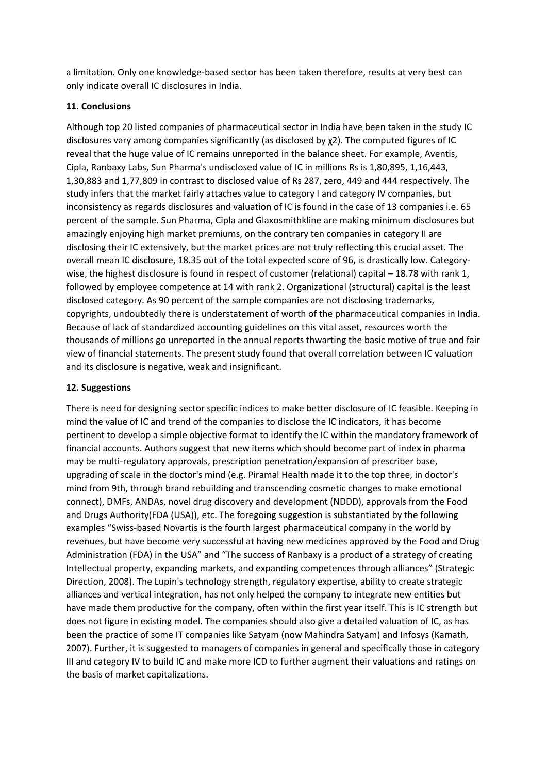a limitation. Only one knowledge‐based sector has been taken therefore, results at very best can only indicate overall IC disclosures in India.

## **11. Conclusions**

Although top 20 listed companies of pharmaceutical sector in India have been taken in the study IC disclosures vary among companies significantly (as disclosed by χ2). The computed figures of IC reveal that the huge value of IC remains unreported in the balance sheet. For example, Aventis, Cipla, Ranbaxy Labs, Sun Pharma's undisclosed value of IC in millions Rs is 1,80,895, 1,16,443, 1,30,883 and 1,77,809 in contrast to disclosed value of Rs 287, zero, 449 and 444 respectively. The study infers that the market fairly attaches value to category I and category IV companies, but inconsistency as regards disclosures and valuation of IC is found in the case of 13 companies i.e. 65 percent of the sample. Sun Pharma, Cipla and Glaxosmithkline are making minimum disclosures but amazingly enjoying high market premiums, on the contrary ten companies in category II are disclosing their IC extensively, but the market prices are not truly reflecting this crucial asset. The overall mean IC disclosure, 18.35 out of the total expected score of 96, is drastically low. Category‐ wise, the highest disclosure is found in respect of customer (relational) capital – 18.78 with rank 1, followed by employee competence at 14 with rank 2. Organizational (structural) capital is the least disclosed category. As 90 percent of the sample companies are not disclosing trademarks, copyrights, undoubtedly there is understatement of worth of the pharmaceutical companies in India. Because of lack of standardized accounting guidelines on this vital asset, resources worth the thousands of millions go unreported in the annual reports thwarting the basic motive of true and fair view of financial statements. The present study found that overall correlation between IC valuation and its disclosure is negative, weak and insignificant.

## **12. Suggestions**

There is need for designing sector specific indices to make better disclosure of IC feasible. Keeping in mind the value of IC and trend of the companies to disclose the IC indicators, it has become pertinent to develop a simple objective format to identify the IC within the mandatory framework of financial accounts. Authors suggest that new items which should become part of index in pharma may be multi-regulatory approvals, prescription penetration/expansion of prescriber base, upgrading of scale in the doctor's mind (e.g. Piramal Health made it to the top three, in doctor's mind from 9th, through brand rebuilding and transcending cosmetic changes to make emotional connect), DMFs, ANDAs, novel drug discovery and development (NDDD), approvals from the Food and Drugs Authority(FDA (USA)), etc. The foregoing suggestion is substantiated by the following examples "Swiss‐based Novartis is the fourth largest pharmaceutical company in the world by revenues, but have become very successful at having new medicines approved by the Food and Drug Administration (FDA) in the USA" and "The success of Ranbaxy is a product of a strategy of creating Intellectual property, expanding markets, and expanding competences through alliances" (Strategic Direction, 2008). The Lupin's technology strength, regulatory expertise, ability to create strategic alliances and vertical integration, has not only helped the company to integrate new entities but have made them productive for the company, often within the first year itself. This is IC strength but does not figure in existing model. The companies should also give a detailed valuation of IC, as has been the practice of some IT companies like Satyam (now Mahindra Satyam) and Infosys (Kamath, 2007). Further, it is suggested to managers of companies in general and specifically those in category III and category IV to build IC and make more ICD to further augment their valuations and ratings on the basis of market capitalizations.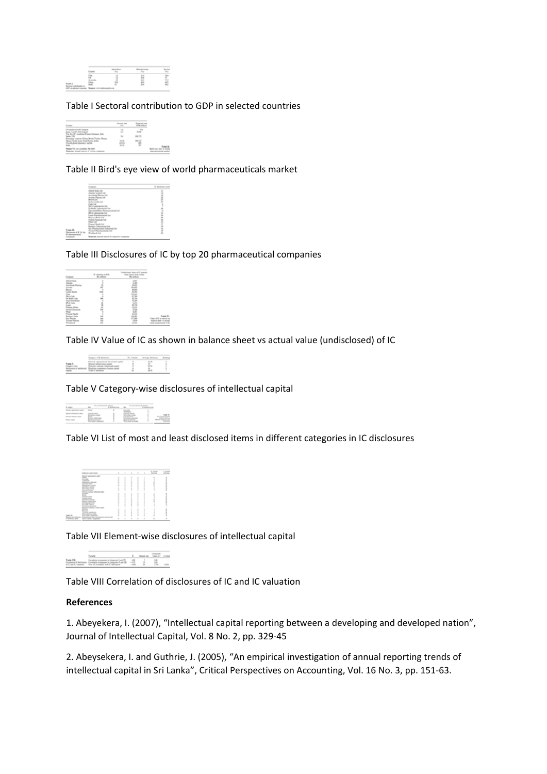

#### Table I Sectoral contribution to GDP in selected countries

|                                                                                      | e.          |        |  |
|--------------------------------------------------------------------------------------|-------------|--------|--|
| Score-Investor's that beginnt.<br>This bine Bill structures (Presses Fastmann Ball). | ÷           | $\sim$ |  |
| Station 1780<br>Energing creating China, Board, Turket, Bussie,                      | $^{3}$      |        |  |
| Mexico North Roma Arath Roma, Bolan<br><b>Chand global phontony stached</b>          | $-1$<br>$-$ | ٣      |  |
| <b>Reprints Scientifican</b>                                                         |             |        |  |

Table II Bird's eye view of world pharmaceuticals market



Table III Disclosures of IC by top 20 pharmaceutical companies

|  | - |  |
|--|---|--|
|  |   |  |
|  |   |  |
|  | - |  |
|  | x |  |
|  | ÷ |  |
|  | ÷ |  |
|  |   |  |
|  |   |  |

Table IV Value of IC as shown in balance sheet vs actual value (undisclosed) of IC

Table V Category‐wise disclosures of intellectual capital

Table VI List of most and least disclosed items in different categories in IC disclosures

| <b><i><u>STATUS SEE BLUE</u></i></b> | $\lambda$ | ٠ | ٠      | ٠      | ٠     | 1,000 |  |
|--------------------------------------|-----------|---|--------|--------|-------|-------|--|
| <b>STATE AND</b><br>-<br>۰           |           |   | ٠      |        |       |       |  |
|                                      | ì         | ٠ |        | t      |       |       |  |
|                                      |           |   |        |        |       |       |  |
| <b>Minute</b>                        |           |   |        | ٠      |       |       |  |
| <b>Contract</b>                      |           |   | ٠      |        |       |       |  |
|                                      |           |   |        |        |       |       |  |
| <b><i><u>Contract Avenue</u></i></b> |           |   |        |        |       |       |  |
| <b>STATISTICS</b><br>-               |           |   |        | ٠      |       |       |  |
| ÷<br><b>Side of</b><br>_             | t         | ٠ | ٠<br>т | ÷      |       |       |  |
|                                      |           |   |        |        |       |       |  |
| and said service and                 |           |   |        |        |       |       |  |
|                                      |           | Ì |        | t      |       |       |  |
| e.                                   |           |   |        |        | ļ     |       |  |
|                                      |           |   |        |        |       |       |  |
| ---                                  |           | ۰ |        |        |       |       |  |
| <b>Children</b> Street               |           |   | ٠      |        |       |       |  |
| <b>COLORED AND AND AND AND</b>       |           |   | ٠      |        |       |       |  |
| <b>CONTRACTOR</b>                    |           |   |        |        | j     |       |  |
| -<br>-                               |           |   | ٠<br>ı | t      |       |       |  |
|                                      |           |   |        |        |       |       |  |
|                                      |           |   |        |        |       |       |  |
| an Tana an<br>Tan                    |           | ٠ | ٠      | t      | t     |       |  |
|                                      |           |   |        |        |       |       |  |
| ÷                                    |           |   | ٠      | ٠      |       |       |  |
| ٠                                    |           |   |        |        | I     |       |  |
| ٠                                    |           |   |        | ٠      |       |       |  |
| --                                   |           |   |        |        |       |       |  |
|                                      |           |   | ٠      | $\sim$ | $-10$ |       |  |

Table VII Element‐wise disclosures of intellectual capital



Table VIII Correlation of disclosures of IC and IC valuation

#### **References**

1. Abeyekera, I. (2007), "Intellectual capital reporting between a developing and developed nation", Journal of Intellectual Capital, Vol. 8 No. 2, pp. 329‐45

2. Abeysekera, I. and Guthrie, J. (2005), "An empirical investigation of annual reporting trends of intellectual capital in Sri Lanka", Critical Perspectives on Accounting, Vol. 16 No. 3, pp. 151‐63.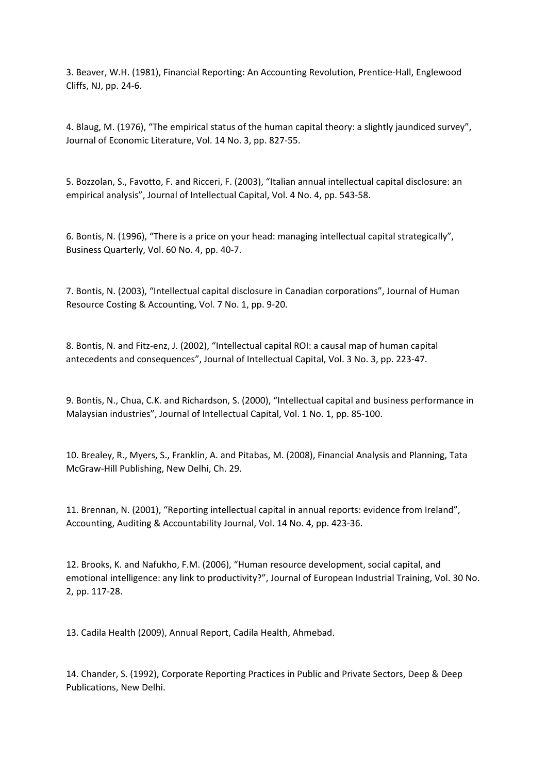3. Beaver, W.H. (1981), Financial Reporting: An Accounting Revolution, Prentice‐Hall, Englewood Cliffs, NJ, pp. 24‐6.

4. Blaug, M. (1976), "The empirical status of the human capital theory: a slightly jaundiced survey", Journal of Economic Literature, Vol. 14 No. 3, pp. 827‐55.

5. Bozzolan, S., Favotto, F. and Ricceri, F. (2003), "Italian annual intellectual capital disclosure: an empirical analysis", Journal of Intellectual Capital, Vol. 4 No. 4, pp. 543‐58.

6. Bontis, N. (1996), "There is a price on your head: managing intellectual capital strategically", Business Quarterly, Vol. 60 No. 4, pp. 40‐7.

7. Bontis, N. (2003), "Intellectual capital disclosure in Canadian corporations", Journal of Human Resource Costing & Accounting, Vol. 7 No. 1, pp. 9‐20.

8. Bontis, N. and Fitz-enz, J. (2002), "Intellectual capital ROI: a causal map of human capital antecedents and consequences", Journal of Intellectual Capital, Vol. 3 No. 3, pp. 223‐47.

9. Bontis, N., Chua, C.K. and Richardson, S. (2000), "Intellectual capital and business performance in Malaysian industries", Journal of Intellectual Capital, Vol. 1 No. 1, pp. 85‐100.

10. Brealey, R., Myers, S., Franklin, A. and Pitabas, M. (2008), Financial Analysis and Planning, Tata McGraw‐Hill Publishing, New Delhi, Ch. 29.

11. Brennan, N. (2001), "Reporting intellectual capital in annual reports: evidence from Ireland", Accounting, Auditing & Accountability Journal, Vol. 14 No. 4, pp. 423‐36.

12. Brooks, K. and Nafukho, F.M. (2006), "Human resource development, social capital, and emotional intelligence: any link to productivity?", Journal of European Industrial Training, Vol. 30 No. 2, pp. 117‐28.

13. Cadila Health (2009), Annual Report, Cadila Health, Ahmebad.

14. Chander, S. (1992), Corporate Reporting Practices in Public and Private Sectors, Deep & Deep Publications, New Delhi.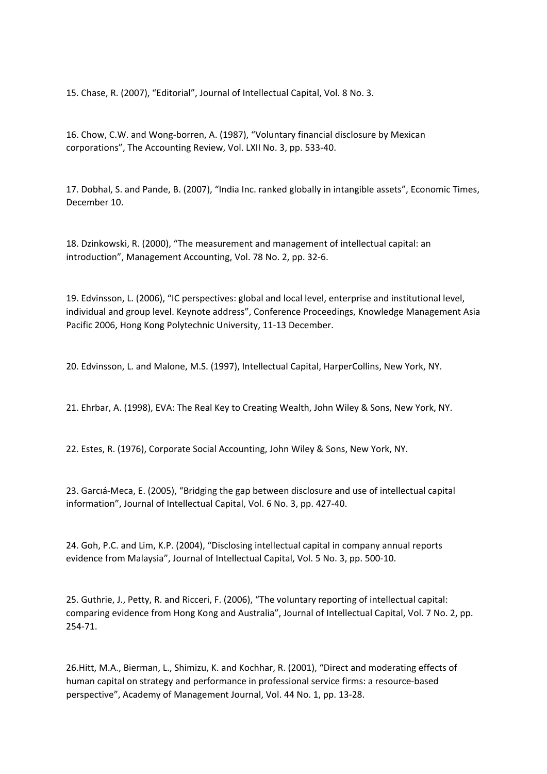15. Chase, R. (2007), "Editorial", Journal of Intellectual Capital, Vol. 8 No. 3.

16. Chow, C.W. and Wong‐borren, A. (1987), "Voluntary financial disclosure by Mexican corporations", The Accounting Review, Vol. LXII No. 3, pp. 533‐40.

17. Dobhal, S. and Pande, B. (2007), "India Inc. ranked globally in intangible assets", Economic Times, December 10.

18. Dzinkowski, R. (2000), "The measurement and management of intellectual capital: an introduction", Management Accounting, Vol. 78 No. 2, pp. 32‐6.

19. Edvinsson, L. (2006), "IC perspectives: global and local level, enterprise and institutional level, individual and group level. Keynote address", Conference Proceedings, Knowledge Management Asia Pacific 2006, Hong Kong Polytechnic University, 11‐13 December.

20. Edvinsson, L. and Malone, M.S. (1997), Intellectual Capital, HarperCollins, New York, NY.

21. Ehrbar, A. (1998), EVA: The Real Key to Creating Wealth, John Wiley & Sons, New York, NY.

22. Estes, R. (1976), Corporate Social Accounting, John Wiley & Sons, New York, NY.

23. Garcıá‐Meca, E. (2005), "Bridging the gap between disclosure and use of intellectual capital information", Journal of Intellectual Capital, Vol. 6 No. 3, pp. 427‐40.

24. Goh, P.C. and Lim, K.P. (2004), "Disclosing intellectual capital in company annual reports evidence from Malaysia", Journal of Intellectual Capital, Vol. 5 No. 3, pp. 500‐10.

25. Guthrie, J., Petty, R. and Ricceri, F. (2006), "The voluntary reporting of intellectual capital: comparing evidence from Hong Kong and Australia", Journal of Intellectual Capital, Vol. 7 No. 2, pp. 254‐71.

26.Hitt, M.A., Bierman, L., Shimizu, K. and Kochhar, R. (2001), "Direct and moderating effects of human capital on strategy and performance in professional service firms: a resource‐based perspective", Academy of Management Journal, Vol. 44 No. 1, pp. 13‐28.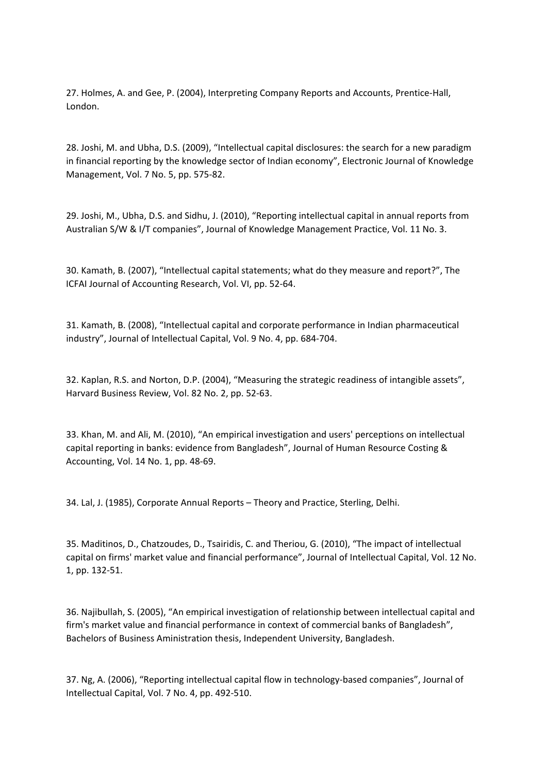27. Holmes, A. and Gee, P. (2004), Interpreting Company Reports and Accounts, Prentice‐Hall, London.

28. Joshi, M. and Ubha, D.S. (2009), "Intellectual capital disclosures: the search for a new paradigm in financial reporting by the knowledge sector of Indian economy", Electronic Journal of Knowledge Management, Vol. 7 No. 5, pp. 575‐82.

29. Joshi, M., Ubha, D.S. and Sidhu, J. (2010), "Reporting intellectual capital in annual reports from Australian S/W & I/T companies", Journal of Knowledge Management Practice, Vol. 11 No. 3.

30. Kamath, B. (2007), "Intellectual capital statements; what do they measure and report?", The ICFAI Journal of Accounting Research, Vol. VI, pp. 52‐64.

31. Kamath, B. (2008), "Intellectual capital and corporate performance in Indian pharmaceutical industry", Journal of Intellectual Capital, Vol. 9 No. 4, pp. 684‐704.

32. Kaplan, R.S. and Norton, D.P. (2004), "Measuring the strategic readiness of intangible assets", Harvard Business Review, Vol. 82 No. 2, pp. 52‐63.

33. Khan, M. and Ali, M. (2010), "An empirical investigation and users' perceptions on intellectual capital reporting in banks: evidence from Bangladesh", Journal of Human Resource Costing & Accounting, Vol. 14 No. 1, pp. 48‐69.

34. Lal, J. (1985), Corporate Annual Reports – Theory and Practice, Sterling, Delhi.

35. Maditinos, D., Chatzoudes, D., Tsairidis, C. and Theriou, G. (2010), "The impact of intellectual capital on firms' market value and financial performance", Journal of Intellectual Capital, Vol. 12 No. 1, pp. 132‐51.

36. Najibullah, S. (2005), "An empirical investigation of relationship between intellectual capital and firm's market value and financial performance in context of commercial banks of Bangladesh", Bachelors of Business Aministration thesis, Independent University, Bangladesh.

37. Ng, A. (2006), "Reporting intellectual capital flow in technology-based companies", Journal of Intellectual Capital, Vol. 7 No. 4, pp. 492‐510.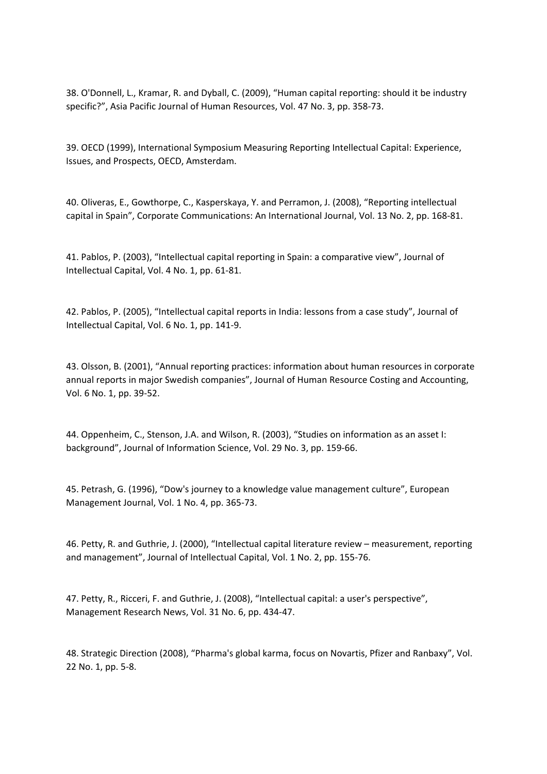38. O'Donnell, L., Kramar, R. and Dyball, C. (2009), "Human capital reporting: should it be industry specific?", Asia Pacific Journal of Human Resources, Vol. 47 No. 3, pp. 358‐73.

39. OECD (1999), International Symposium Measuring Reporting Intellectual Capital: Experience, Issues, and Prospects, OECD, Amsterdam.

40. Oliveras, E., Gowthorpe, C., Kasperskaya, Y. and Perramon, J. (2008), "Reporting intellectual capital in Spain", Corporate Communications: An International Journal, Vol. 13 No. 2, pp. 168‐81.

41. Pablos, P. (2003), "Intellectual capital reporting in Spain: a comparative view", Journal of Intellectual Capital, Vol. 4 No. 1, pp. 61‐81.

42. Pablos, P. (2005), "Intellectual capital reports in India: lessons from a case study", Journal of Intellectual Capital, Vol. 6 No. 1, pp. 141‐9.

43. Olsson, B. (2001), "Annual reporting practices: information about human resources in corporate annual reports in major Swedish companies", Journal of Human Resource Costing and Accounting, Vol. 6 No. 1, pp. 39‐52.

44. Oppenheim, C., Stenson, J.A. and Wilson, R. (2003), "Studies on information as an asset I: background", Journal of Information Science, Vol. 29 No. 3, pp. 159‐66.

45. Petrash, G. (1996), "Dow's journey to a knowledge value management culture", European Management Journal, Vol. 1 No. 4, pp. 365‐73.

46. Petty, R. and Guthrie, J. (2000), "Intellectual capital literature review – measurement, reporting and management", Journal of Intellectual Capital, Vol. 1 No. 2, pp. 155‐76.

47. Petty, R., Ricceri, F. and Guthrie, J. (2008), "Intellectual capital: a user's perspective", Management Research News, Vol. 31 No. 6, pp. 434‐47.

48. Strategic Direction (2008), "Pharma's global karma, focus on Novartis, Pfizer and Ranbaxy", Vol. 22 No. 1, pp. 5‐8.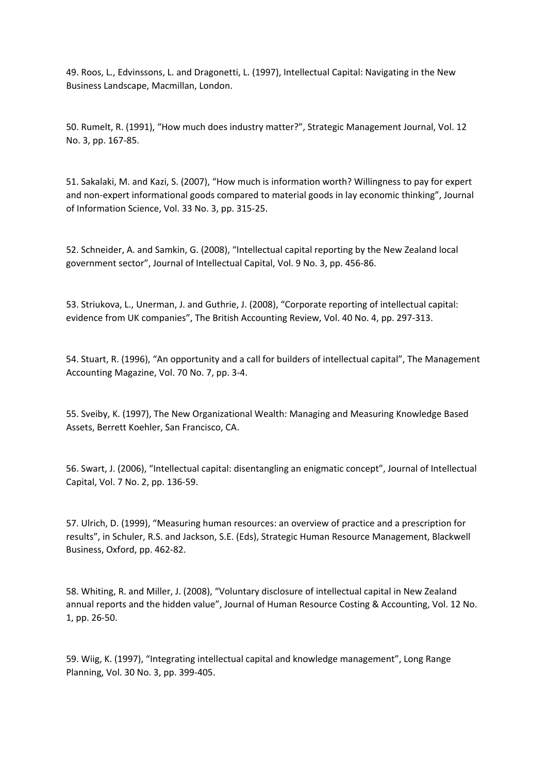49. Roos, L., Edvinssons, L. and Dragonetti, L. (1997), Intellectual Capital: Navigating in the New Business Landscape, Macmillan, London.

50. Rumelt, R. (1991), "How much does industry matter?", Strategic Management Journal, Vol. 12 No. 3, pp. 167‐85.

51. Sakalaki, M. and Kazi, S. (2007), "How much is information worth? Willingness to pay for expert and non-expert informational goods compared to material goods in lay economic thinking", Journal of Information Science, Vol. 33 No. 3, pp. 315‐25.

52. Schneider, A. and Samkin, G. (2008), "Intellectual capital reporting by the New Zealand local government sector", Journal of Intellectual Capital, Vol. 9 No. 3, pp. 456‐86.

53. Striukova, L., Unerman, J. and Guthrie, J. (2008), "Corporate reporting of intellectual capital: evidence from UK companies", The British Accounting Review, Vol. 40 No. 4, pp. 297‐313.

54. Stuart, R. (1996), "An opportunity and a call for builders of intellectual capital", The Management Accounting Magazine, Vol. 70 No. 7, pp. 3‐4.

55. Sveiby, K. (1997), The New Organizational Wealth: Managing and Measuring Knowledge Based Assets, Berrett Koehler, San Francisco, CA.

56. Swart, J. (2006), "Intellectual capital: disentangling an enigmatic concept", Journal of Intellectual Capital, Vol. 7 No. 2, pp. 136‐59.

57. Ulrich, D. (1999), "Measuring human resources: an overview of practice and a prescription for results", in Schuler, R.S. and Jackson, S.E. (Eds), Strategic Human Resource Management, Blackwell Business, Oxford, pp. 462‐82.

58. Whiting, R. and Miller, J. (2008), "Voluntary disclosure of intellectual capital in New Zealand annual reports and the hidden value", Journal of Human Resource Costing & Accounting, Vol. 12 No. 1, pp. 26‐50.

59. Wiig, K. (1997), "Integrating intellectual capital and knowledge management", Long Range Planning, Vol. 30 No. 3, pp. 399‐405.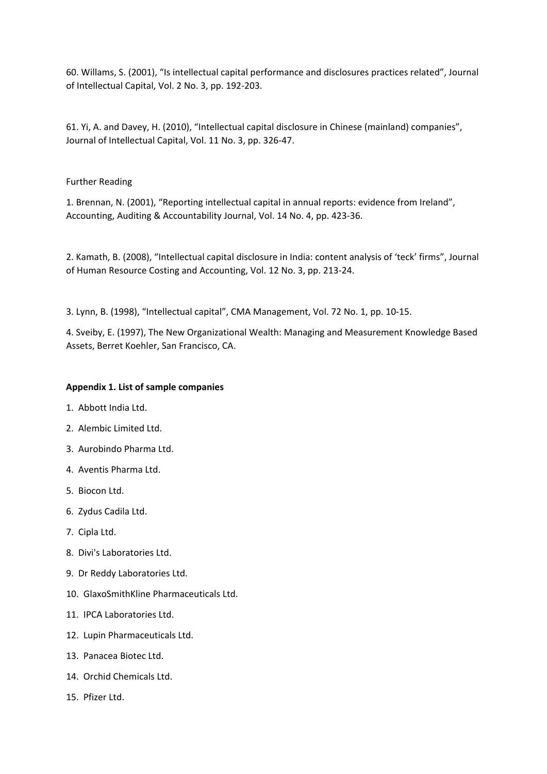60. Willams, S. (2001), "Is intellectual capital performance and disclosures practices related", Journal of Intellectual Capital, Vol. 2 No. 3, pp. 192‐203.

61. Yi, A. and Davey, H. (2010), "Intellectual capital disclosure in Chinese (mainland) companies", Journal of Intellectual Capital, Vol. 11 No. 3, pp. 326‐47.

### Further Reading

1. Brennan, N. (2001), "Reporting intellectual capital in annual reports: evidence from Ireland", Accounting, Auditing & Accountability Journal, Vol. 14 No. 4, pp. 423‐36.

2. Kamath, B. (2008), "Intellectual capital disclosure in India: content analysis of 'teck' firms", Journal of Human Resource Costing and Accounting, Vol. 12 No. 3, pp. 213‐24.

3. Lynn, B. (1998), "Intellectual capital", CMA Management, Vol. 72 No. 1, pp. 10‐15.

4. Sveiby, E. (1997), The New Organizational Wealth: Managing and Measurement Knowledge Based Assets, Berret Koehler, San Francisco, CA.

#### **Appendix 1. List of sample companies**

- 1. Abbott India Ltd.
- 2. Alembic Limited Ltd.
- 3. Aurobindo Pharma Ltd.
- 4. Aventis Pharma Ltd.
- 5. Biocon Ltd.
- 6. Zydus Cadila Ltd.
- 7. Cipla Ltd.
- 8. Divi's Laboratories Ltd.
- 9. Dr Reddy Laboratories Ltd.
- 10. GlaxoSmithKline Pharmaceuticals Ltd.
- 11. IPCA Laboratories Ltd.
- 12. Lupin Pharmaceuticals Ltd.
- 13. Panacea Biotec Ltd.
- 14. Orchid Chemicals Ltd.
- 15. Pfizer Ltd.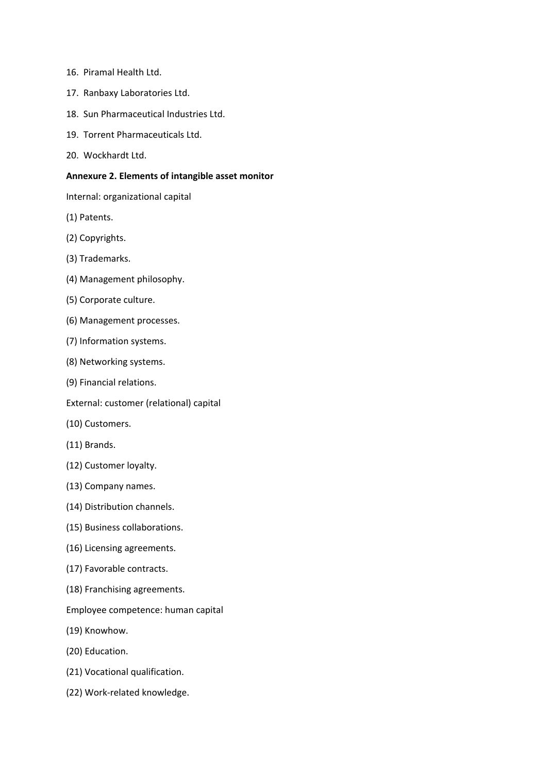- 16. Piramal Health Ltd.
- 17. Ranbaxy Laboratories Ltd.
- 18. Sun Pharmaceutical Industries Ltd.
- 19. Torrent Pharmaceuticals Ltd.
- 20. Wockhardt Ltd.

#### **Annexure 2. Elements of intangible asset monitor**

Internal: organizational capital

- (1) Patents.
- (2) Copyrights.
- (3) Trademarks.
- (4) Management philosophy.
- (5) Corporate culture.
- (6) Management processes.
- (7) Information systems.
- (8) Networking systems.
- (9) Financial relations.
- External: customer (relational) capital
- (10) Customers.
- (11) Brands.
- (12) Customer loyalty.
- (13) Company names.
- (14) Distribution channels.
- (15) Business collaborations.
- (16) Licensing agreements.
- (17) Favorable contracts.
- (18) Franchising agreements.
- Employee competence: human capital
- (19) Knowhow.
- (20) Education.
- (21) Vocational qualification.
- (22) Work‐related knowledge.